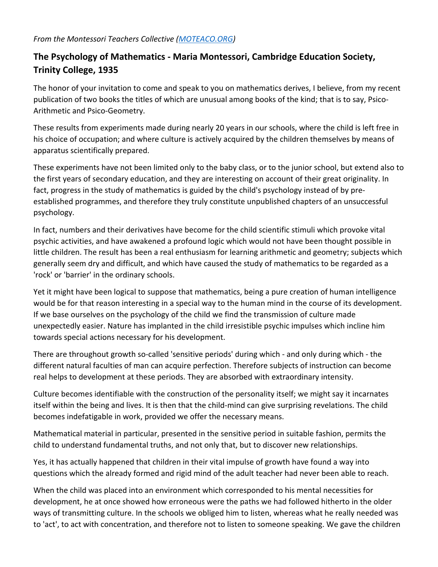## *From the Montessori Teachers Collective [\(MOTEACO.ORG\)](https://moteaco.org/)*

## **The Psychology of Mathematics - Maria Montessori, Cambridge Education Society, Trinity College, 1935**

The honor of your invitation to come and speak to you on mathematics derives, I believe, from my recent publication of two books the titles of which are unusual among books of the kind; that is to say, Psico-Arithmetic and Psico-Geometry.

These results from experiments made during nearly 20 years in our schools, where the child is left free in his choice of occupation; and where culture is actively acquired by the children themselves by means of apparatus scientifically prepared.

These experiments have not been limited only to the baby class, or to the junior school, but extend also to the first years of secondary education, and they are interesting on account of their great originality. In fact, progress in the study of mathematics is guided by the child's psychology instead of by preestablished programmes, and therefore they truly constitute unpublished chapters of an unsuccessful psychology.

In fact, numbers and their derivatives have become for the child scientific stimuli which provoke vital psychic activities, and have awakened a profound logic which would not have been thought possible in little children. The result has been a real enthusiasm for learning arithmetic and geometry; subjects which generally seem dry and difficult, and which have caused the study of mathematics to be regarded as a 'rock' or 'barrier' in the ordinary schools.

Yet it might have been logical to suppose that mathematics, being a pure creation of human intelligence would be for that reason interesting in a special way to the human mind in the course of its development. If we base ourselves on the psychology of the child we find the transmission of culture made unexpectedly easier. Nature has implanted in the child irresistible psychic impulses which incline him towards special actions necessary for his development.

There are throughout growth so-called 'sensitive periods' during which - and only during which - the different natural faculties of man can acquire perfection. Therefore subjects of instruction can become real helps to development at these periods. They are absorbed with extraordinary intensity.

Culture becomes identifiable with the construction of the personality itself; we might say it incarnates itself within the being and lives. It is then that the child-mind can give surprising revelations. The child becomes indefatigable in work, provided we offer the necessary means.

Mathematical material in particular, presented in the sensitive period in suitable fashion, permits the child to understand fundamental truths, and not only that, but to discover new relationships.

Yes, it has actually happened that children in their vital impulse of growth have found a way into questions which the already formed and rigid mind of the adult teacher had never been able to reach.

When the child was placed into an environment which corresponded to his mental necessities for development, he at once showed how erroneous were the paths we had followed hitherto in the older ways of transmitting culture. In the schools we obliged him to listen, whereas what he really needed was to 'act', to act with concentration, and therefore not to listen to someone speaking. We gave the children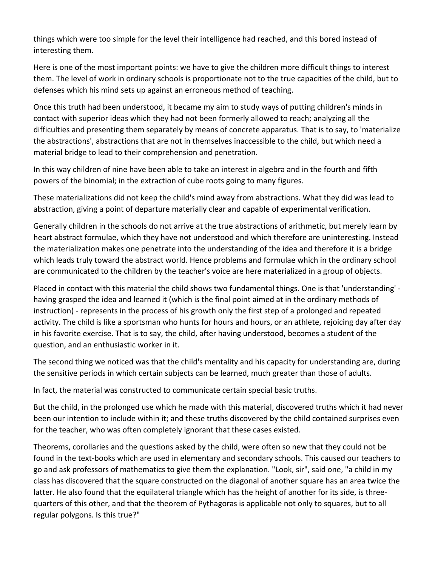things which were too simple for the level their intelligence had reached, and this bored instead of interesting them.

Here is one of the most important points: we have to give the children more difficult things to interest them. The level of work in ordinary schools is proportionate not to the true capacities of the child, but to defenses which his mind sets up against an erroneous method of teaching.

Once this truth had been understood, it became my aim to study ways of putting children's minds in contact with superior ideas which they had not been formerly allowed to reach; analyzing all the difficulties and presenting them separately by means of concrete apparatus. That is to say, to 'materialize the abstractions', abstractions that are not in themselves inaccessible to the child, but which need a material bridge to lead to their comprehension and penetration.

In this way children of nine have been able to take an interest in algebra and in the fourth and fifth powers of the binomial; in the extraction of cube roots going to many figures.

These materializations did not keep the child's mind away from abstractions. What they did was lead to abstraction, giving a point of departure materially clear and capable of experimental verification.

Generally children in the schools do not arrive at the true abstractions of arithmetic, but merely learn by heart abstract formulae, which they have not understood and which therefore are uninteresting. Instead the materialization makes one penetrate into the understanding of the idea and therefore it is a bridge which leads truly toward the abstract world. Hence problems and formulae which in the ordinary school are communicated to the children by the teacher's voice are here materialized in a group of objects.

Placed in contact with this material the child shows two fundamental things. One is that 'understanding' having grasped the idea and learned it (which is the final point aimed at in the ordinary methods of instruction) - represents in the process of his growth only the first step of a prolonged and repeated activity. The child is like a sportsman who hunts for hours and hours, or an athlete, rejoicing day after day in his favorite exercise. That is to say, the child, after having understood, becomes a student of the question, and an enthusiastic worker in it.

The second thing we noticed was that the child's mentality and his capacity for understanding are, during the sensitive periods in which certain subjects can be learned, much greater than those of adults.

In fact, the material was constructed to communicate certain special basic truths.

But the child, in the prolonged use which he made with this material, discovered truths which it had never been our intention to include within it; and these truths discovered by the child contained surprises even for the teacher, who was often completely ignorant that these cases existed.

Theorems, corollaries and the questions asked by the child, were often so new that they could not be found in the text-books which are used in elementary and secondary schools. This caused our teachers to go and ask professors of mathematics to give them the explanation. "Look, sir", said one, "a child in my class has discovered that the square constructed on the diagonal of another square has an area twice the latter. He also found that the equilateral triangle which has the height of another for its side, is threequarters of this other, and that the theorem of Pythagoras is applicable not only to squares, but to all regular polygons. Is this true?"